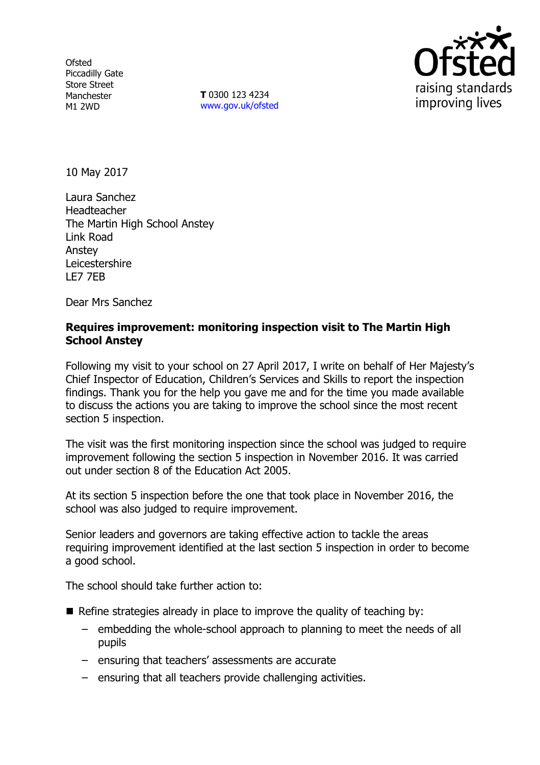**Ofsted** Piccadilly Gate Store Street Manchester M1 2WD

**T** 0300 123 4234 www.gov.uk/ofsted



10 May 2017

Laura Sanchez Headteacher The Martin High School Anstey Link Road Anstey Leicestershire LE7 7EB

Dear Mrs Sanchez

#### **Requires improvement: monitoring inspection visit to The Martin High School Anstey**

Following my visit to your school on 27 April 2017, I write on behalf of Her Majesty's Chief Inspector of Education, Children's Services and Skills to report the inspection findings. Thank you for the help you gave me and for the time you made available to discuss the actions you are taking to improve the school since the most recent section 5 inspection.

The visit was the first monitoring inspection since the school was judged to require improvement following the section 5 inspection in November 2016. It was carried out under section 8 of the Education Act 2005.

At its section 5 inspection before the one that took place in November 2016, the school was also judged to require improvement.

Senior leaders and governors are taking effective action to tackle the areas requiring improvement identified at the last section 5 inspection in order to become a good school.

The school should take further action to:

- Refine strategies already in place to improve the quality of teaching by:
	- embedding the whole-school approach to planning to meet the needs of all pupils
	- ensuring that teachers' assessments are accurate
	- ensuring that all teachers provide challenging activities.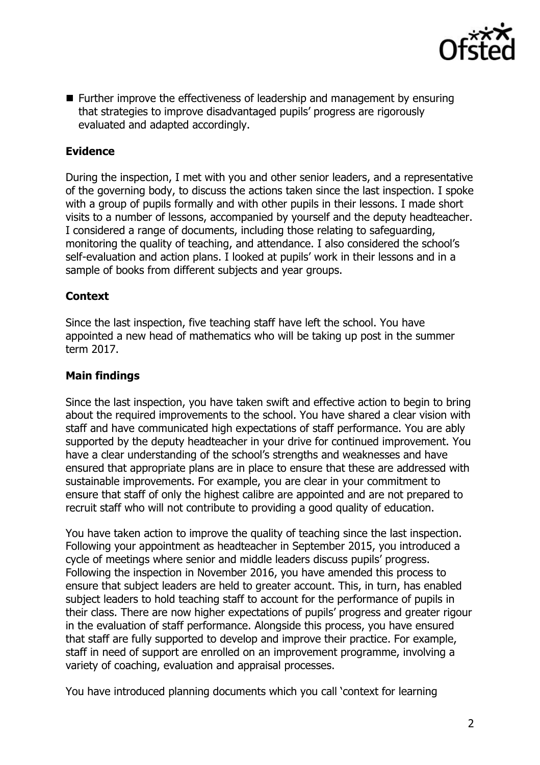

■ Further improve the effectiveness of leadership and management by ensuring that strategies to improve disadvantaged pupils' progress are rigorously evaluated and adapted accordingly.

# **Evidence**

During the inspection, I met with you and other senior leaders, and a representative of the governing body, to discuss the actions taken since the last inspection. I spoke with a group of pupils formally and with other pupils in their lessons. I made short visits to a number of lessons, accompanied by yourself and the deputy headteacher. I considered a range of documents, including those relating to safeguarding, monitoring the quality of teaching, and attendance. I also considered the school's self-evaluation and action plans. I looked at pupils' work in their lessons and in a sample of books from different subjects and year groups.

## **Context**

Since the last inspection, five teaching staff have left the school. You have appointed a new head of mathematics who will be taking up post in the summer term 2017.

### **Main findings**

Since the last inspection, you have taken swift and effective action to begin to bring about the required improvements to the school. You have shared a clear vision with staff and have communicated high expectations of staff performance. You are ably supported by the deputy headteacher in your drive for continued improvement. You have a clear understanding of the school's strengths and weaknesses and have ensured that appropriate plans are in place to ensure that these are addressed with sustainable improvements. For example, you are clear in your commitment to ensure that staff of only the highest calibre are appointed and are not prepared to recruit staff who will not contribute to providing a good quality of education.

You have taken action to improve the quality of teaching since the last inspection. Following your appointment as headteacher in September 2015, you introduced a cycle of meetings where senior and middle leaders discuss pupils' progress. Following the inspection in November 2016, you have amended this process to ensure that subject leaders are held to greater account. This, in turn, has enabled subject leaders to hold teaching staff to account for the performance of pupils in their class. There are now higher expectations of pupils' progress and greater rigour in the evaluation of staff performance. Alongside this process, you have ensured that staff are fully supported to develop and improve their practice. For example, staff in need of support are enrolled on an improvement programme, involving a variety of coaching, evaluation and appraisal processes.

You have introduced planning documents which you call 'context for learning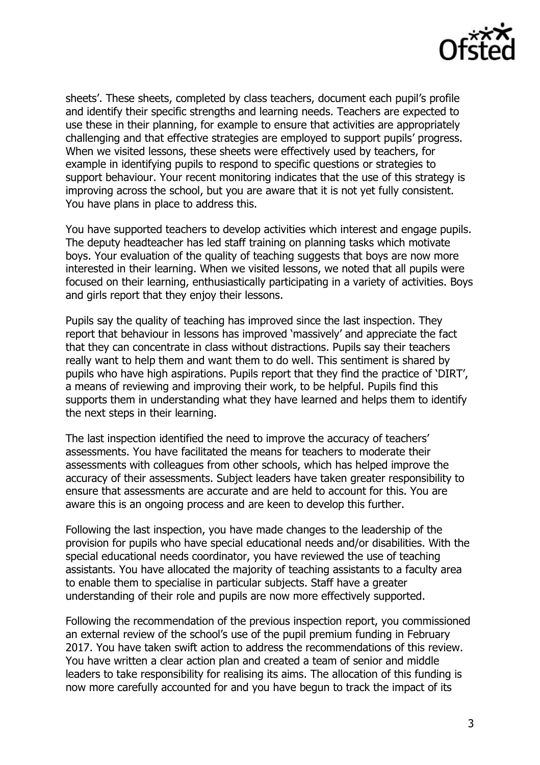

sheets'. These sheets, completed by class teachers, document each pupil's profile and identify their specific strengths and learning needs. Teachers are expected to use these in their planning, for example to ensure that activities are appropriately challenging and that effective strategies are employed to support pupils' progress. When we visited lessons, these sheets were effectively used by teachers, for example in identifying pupils to respond to specific questions or strategies to support behaviour. Your recent monitoring indicates that the use of this strategy is improving across the school, but you are aware that it is not yet fully consistent. You have plans in place to address this.

You have supported teachers to develop activities which interest and engage pupils. The deputy headteacher has led staff training on planning tasks which motivate boys. Your evaluation of the quality of teaching suggests that boys are now more interested in their learning. When we visited lessons, we noted that all pupils were focused on their learning, enthusiastically participating in a variety of activities. Boys and girls report that they enjoy their lessons.

Pupils say the quality of teaching has improved since the last inspection. They report that behaviour in lessons has improved 'massively' and appreciate the fact that they can concentrate in class without distractions. Pupils say their teachers really want to help them and want them to do well. This sentiment is shared by pupils who have high aspirations. Pupils report that they find the practice of 'DIRT', a means of reviewing and improving their work, to be helpful. Pupils find this supports them in understanding what they have learned and helps them to identify the next steps in their learning.

The last inspection identified the need to improve the accuracy of teachers' assessments. You have facilitated the means for teachers to moderate their assessments with colleagues from other schools, which has helped improve the accuracy of their assessments. Subject leaders have taken greater responsibility to ensure that assessments are accurate and are held to account for this. You are aware this is an ongoing process and are keen to develop this further.

Following the last inspection, you have made changes to the leadership of the provision for pupils who have special educational needs and/or disabilities. With the special educational needs coordinator, you have reviewed the use of teaching assistants. You have allocated the majority of teaching assistants to a faculty area to enable them to specialise in particular subjects. Staff have a greater understanding of their role and pupils are now more effectively supported.

Following the recommendation of the previous inspection report, you commissioned an external review of the school's use of the pupil premium funding in February 2017. You have taken swift action to address the recommendations of this review. You have written a clear action plan and created a team of senior and middle leaders to take responsibility for realising its aims. The allocation of this funding is now more carefully accounted for and you have begun to track the impact of its